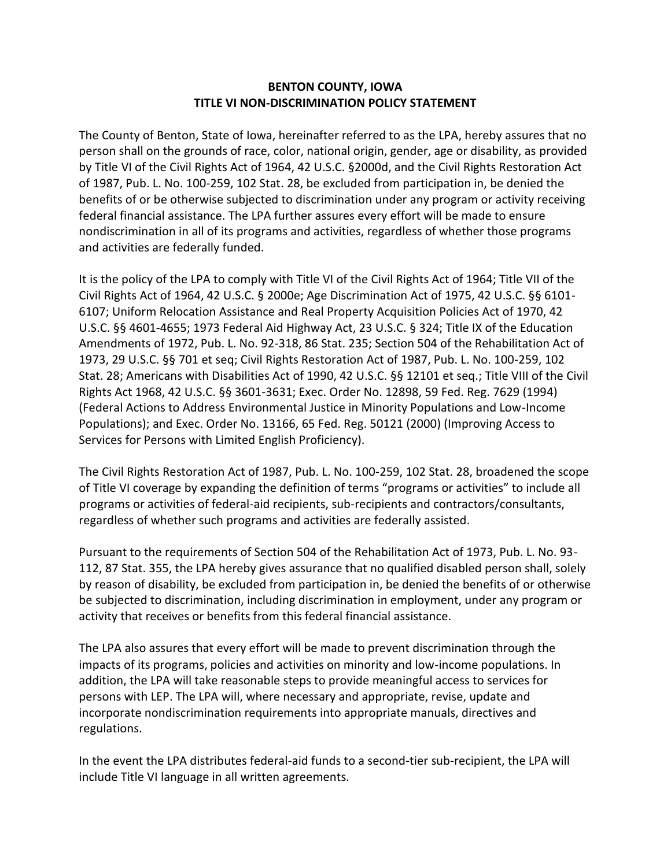## **BENTON COUNTY, IOWA TITLE VI NON-DISCRIMINATION POLICY STATEMENT**

The County of Benton, State of Iowa, hereinafter referred to as the LPA, hereby assures that no person shall on the grounds of race, color, national origin, gender, age or disability, as provided by Title VI of the Civil Rights Act of 1964, 42 U.S.C. §2000d, and the Civil Rights Restoration Act of 1987, Pub. L. No. 100-259, 102 Stat. 28, be excluded from participation in, be denied the benefits of or be otherwise subjected to discrimination under any program or activity receiving federal financial assistance. The LPA further assures every effort will be made to ensure nondiscrimination in all of its programs and activities, regardless of whether those programs and activities are federally funded.

It is the policy of the LPA to comply with Title VI of the Civil Rights Act of 1964; Title VII of the Civil Rights Act of 1964, 42 U.S.C. § 2000e; Age Discrimination Act of 1975, 42 U.S.C. §§ 6101- 6107; Uniform Relocation Assistance and Real Property Acquisition Policies Act of 1970, 42 U.S.C. §§ 4601-4655; 1973 Federal Aid Highway Act, 23 U.S.C. § 324; Title IX of the Education Amendments of 1972, Pub. L. No. 92-318, 86 Stat. 235; Section 504 of the Rehabilitation Act of 1973, 29 U.S.C. §§ 701 et seq; Civil Rights Restoration Act of 1987, Pub. L. No. 100-259, 102 Stat. 28; Americans with Disabilities Act of 1990, 42 U.S.C. §§ 12101 et seq.; Title VIII of the Civil Rights Act 1968, 42 U.S.C. §§ 3601-3631; Exec. Order No. 12898, 59 Fed. Reg. 7629 (1994) (Federal Actions to Address Environmental Justice in Minority Populations and Low-Income Populations); and Exec. Order No. 13166, 65 Fed. Reg. 50121 (2000) (Improving Access to Services for Persons with Limited English Proficiency).

The Civil Rights Restoration Act of 1987, Pub. L. No. 100-259, 102 Stat. 28, broadened the scope of Title VI coverage by expanding the definition of terms "programs or activities" to include all programs or activities of federal-aid recipients, sub-recipients and contractors/consultants, regardless of whether such programs and activities are federally assisted.

Pursuant to the requirements of Section 504 of the Rehabilitation Act of 1973, Pub. L. No. 93- 112, 87 Stat. 355, the LPA hereby gives assurance that no qualified disabled person shall, solely by reason of disability, be excluded from participation in, be denied the benefits of or otherwise be subjected to discrimination, including discrimination in employment, under any program or activity that receives or benefits from this federal financial assistance.

The LPA also assures that every effort will be made to prevent discrimination through the impacts of its programs, policies and activities on minority and low-income populations. In addition, the LPA will take reasonable steps to provide meaningful access to services for persons with LEP. The LPA will, where necessary and appropriate, revise, update and incorporate nondiscrimination requirements into appropriate manuals, directives and regulations.

In the event the LPA distributes federal-aid funds to a second-tier sub-recipient, the LPA will include Title VI language in all written agreements.